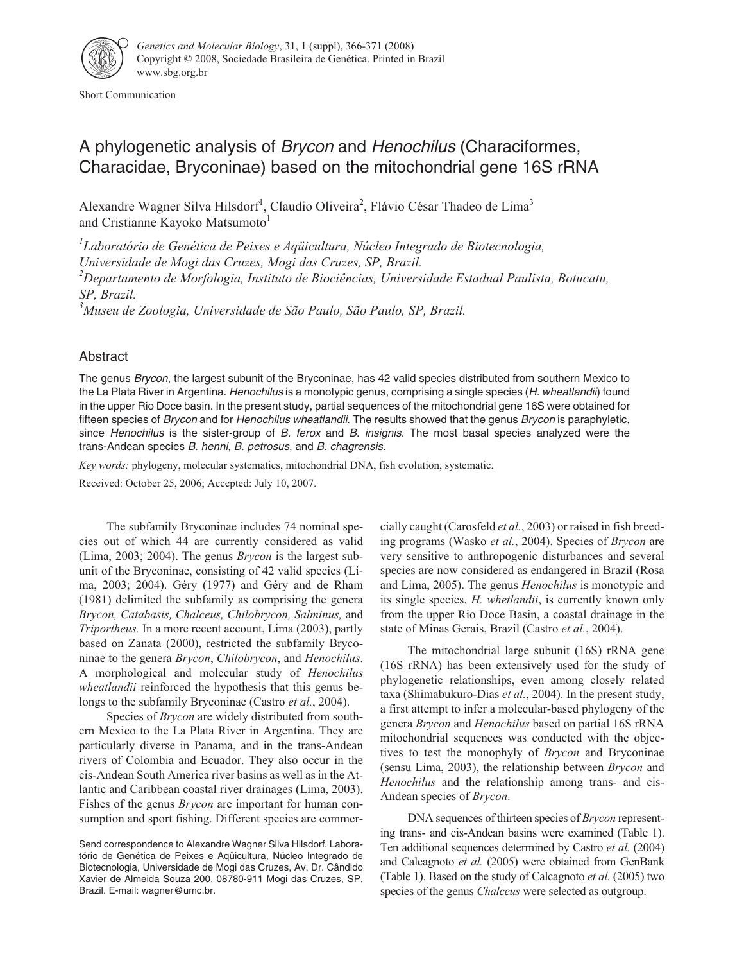

Short Communication

## A phylogenetic analysis of Brycon and Henochilus (Characiformes, Characidae, Bryconinae) based on the mitochondrial gene 16S rRNA

Alexandre Wagner Silva Hilsdorf<sup>1</sup>, Claudio Oliveira<sup>2</sup>, Flávio César Thadeo de Lima<sup>3</sup> and Cristianne Kayoko Matsumoto<sup>1</sup>

*1 Laboratório de Genética de Peixes e Aqüicultura, Núcleo Integrado de Biotecnologia, Universidade de Mogi das Cruzes, Mogi das Cruzes, SP, Brazil. 2 Departamento de Morfologia, Instituto de Biociências, Universidade Estadual Paulista, Botucatu, SP, Brazil. 3 Museu de Zoologia, Universidade de São Paulo, São Paulo, SP, Brazil.*

Abstract

The genus Brycon, the largest subunit of the Bryconinae, has 42 valid species distributed from southern Mexico to the La Plata River in Argentina. Henochilus is a monotypic genus, comprising a single species (H. wheatlandii) found in the upper Rio Doce basin. In the present study, partial sequences of the mitochondrial gene 16S were obtained for fifteen species of Brycon and for Henochilus wheatlandii. The results showed that the genus Brycon is paraphyletic, since Henochilus is the sister-group of B. ferox and B. insignis. The most basal species analyzed were the trans-Andean species B. henni, B. petrosus, and B. chagrensis.

*Key words:* phylogeny, molecular systematics, mitochondrial DNA, fish evolution, systematic.

Received: October 25, 2006; Accepted: July 10, 2007.

The subfamily Bryconinae includes 74 nominal species out of which 44 are currently considered as valid (Lima, 2003; 2004). The genus *Brycon* is the largest subunit of the Bryconinae, consisting of 42 valid species (Lima, 2003; 2004). Géry (1977) and Géry and de Rham (1981) delimited the subfamily as comprising the genera *Brycon, Catabasis, Chalceus, Chilobrycon, Salminus,* and *Triportheus.* In a more recent account, Lima (2003), partly based on Zanata (2000), restricted the subfamily Bryconinae to the genera *Brycon*, *Chilobrycon*, and *Henochilus*. A morphological and molecular study of *Henochilus wheatlandii* reinforced the hypothesis that this genus belongs to the subfamily Bryconinae (Castro *et al.*, 2004).

Species of *Brycon* are widely distributed from southern Mexico to the La Plata River in Argentina. They are particularly diverse in Panama, and in the trans-Andean rivers of Colombia and Ecuador. They also occur in the cis-Andean South America river basins as well as in the Atlantic and Caribbean coastal river drainages (Lima, 2003). Fishes of the genus *Brycon* are important for human consumption and sport fishing. Different species are commercially caught (Carosfeld *et al.*, 2003) or raised in fish breeding programs (Wasko *et al.*, 2004). Species of *Brycon* are very sensitive to anthropogenic disturbances and several species are now considered as endangered in Brazil (Rosa and Lima, 2005). The genus *Henochilus* is monotypic and its single species, *H. whetlandii*, is currently known only from the upper Rio Doce Basin, a coastal drainage in the state of Minas Gerais, Brazil (Castro *et al.*, 2004).

The mitochondrial large subunit (16S) rRNA gene (16S rRNA) has been extensively used for the study of phylogenetic relationships, even among closely related taxa (Shimabukuro-Dias *et al.*, 2004). In the present study, a first attempt to infer a molecular-based phylogeny of the genera *Brycon* and *Henochilus* based on partial 16S rRNA mitochondrial sequences was conducted with the objectives to test the monophyly of *Brycon* and Bryconinae (sensu Lima, 2003), the relationship between *Brycon* and *Henochilus* and the relationship among trans- and cis-Andean species of *Brycon*.

DNA sequences of thirteen species of *Brycon* representing trans- and cis-Andean basins were examined (Table 1). Ten additional sequences determined by Castro *et al.* (2004) and Calcagnoto *et al.* (2005) were obtained from GenBank (Table 1). Based on the study of Calcagnoto *et al.* (2005) two species of the genus *Chalceus* were selected as outgroup.

Send correspondence to Alexandre Wagner Silva Hilsdorf. Laboratório de Genética de Peixes e Aqüicultura, Núcleo Integrado de Biotecnologia, Universidade de Mogi das Cruzes, Av. Dr. Cândido Xavier de Almeida Souza 200, 08780-911 Mogi das Cruzes, SP, Brazil. E-mail: wagner@umc.br.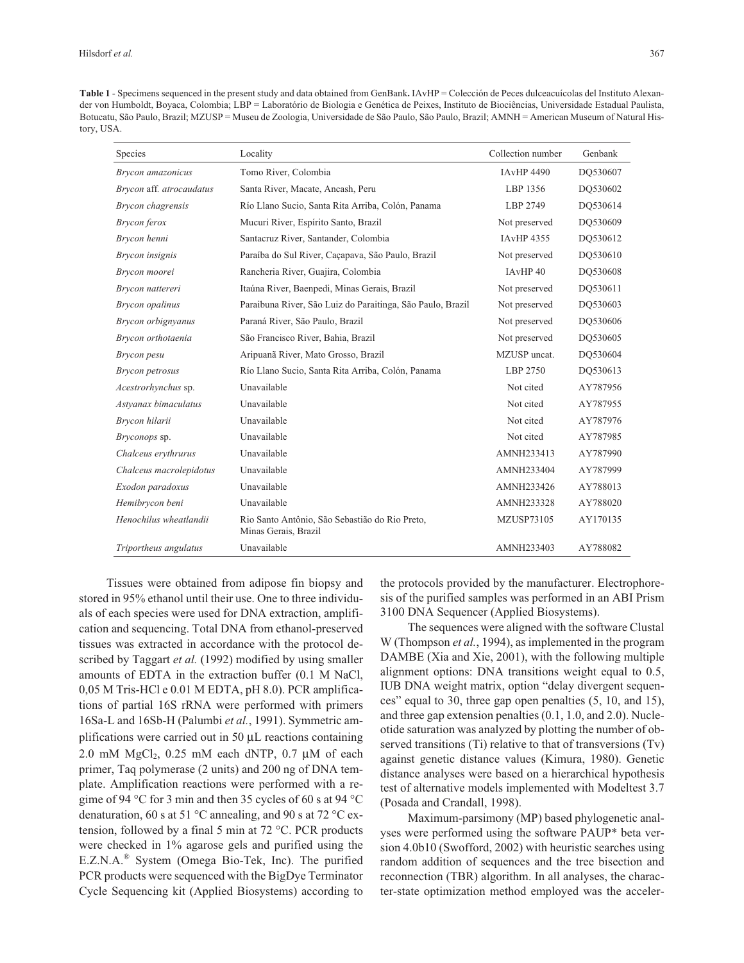**Table 1** - Specimens sequenced in the present study and data obtained from GenBank**.** IAvHP = Colección de Peces dulceacuícolas del Instituto Alexander von Humboldt, Boyaca, Colombia; LBP = Laboratório de Biologia e Genética de Peixes, Instituto de Biociências, Universidade Estadual Paulista, Botucatu, São Paulo, Brazil; MZUSP = Museu de Zoologia, Universidade de São Paulo, São Paulo, Brazil; AMNH = American Museum of Natural History, USA.

| Species                  | Locality                                                               | Collection number | Genbank  |
|--------------------------|------------------------------------------------------------------------|-------------------|----------|
| Brycon amazonicus        | Tomo River, Colombia                                                   | <b>IAvHP 4490</b> | DO530607 |
| Brycon aff. atrocaudatus | Santa River, Macate, Ancash, Peru                                      | LBP 1356          | DO530602 |
| Brycon chagrensis        | Río Llano Sucio, Santa Rita Arriba, Colón, Panama                      | LBP 2749          | DO530614 |
| Brycon ferox             | Mucuri River, Espírito Santo, Brazil                                   | Not preserved     | DQ530609 |
| Brycon henni             | Santacruz River, Santander, Colombia                                   | <b>IAvHP 4355</b> | DO530612 |
| Brycon insignis          | Paraíba do Sul River, Caçapava, São Paulo, Brazil                      | Not preserved     | DO530610 |
| Brycon moorei            | Rancheria River, Guajira, Colombia                                     | IAvHP 40          | DQ530608 |
| Brycon nattereri         | Itaúna River, Baenpedi, Minas Gerais, Brazil                           | Not preserved     | DO530611 |
| Brycon opalinus          | Paraibuna River, São Luiz do Paraitinga, São Paulo, Brazil             | Not preserved     | DO530603 |
| Brycon orbignyanus       | Paraná River, São Paulo, Brazil                                        | Not preserved     | DO530606 |
| Brycon orthotaenia       | São Francisco River, Bahia, Brazil                                     | Not preserved     | DO530605 |
| Brycon pesu              | Aripuanã River, Mato Grosso, Brazil                                    | MZUSP uncat.      | DO530604 |
| Brycon petrosus          | Río Llano Sucio, Santa Rita Arriba, Colón, Panama                      | LBP 2750          | DO530613 |
| Acestrorhynchus sp.      | Unavailable                                                            | Not cited         | AY787956 |
| Astyanax bimaculatus     | Unavailable                                                            | Not cited         | AY787955 |
| Brycon hilarii           | Unavailable                                                            | Not cited         | AY787976 |
| Bryconops sp.            | Unavailable                                                            | Not cited         | AY787985 |
| Chalceus erythrurus      | Unavailable                                                            | AMNH233413        | AY787990 |
| Chalceus macrolepidotus  | Unavailable                                                            | AMNH233404        | AY787999 |
| Exodon paradoxus         | Unavailable                                                            | AMNH233426        | AY788013 |
| Hemibrycon beni          | Unavailable                                                            | AMNH233328        | AY788020 |
| Henochilus wheatlandii   | Rio Santo Antônio, São Sebastião do Rio Preto,<br>Minas Gerais, Brazil | <b>MZUSP73105</b> | AY170135 |
| Triportheus angulatus    | Unavailable                                                            | AMNH233403        | AY788082 |

Tissues were obtained from adipose fin biopsy and stored in 95% ethanol until their use. One to three individuals of each species were used for DNA extraction, amplification and sequencing. Total DNA from ethanol-preserved tissues was extracted in accordance with the protocol described by Taggart *et al.* (1992) modified by using smaller amounts of EDTA in the extraction buffer (0.1 M NaCl, 0,05 M Tris-HCl e 0.01 M EDTA, pH 8.0). PCR amplifications of partial 16S rRNA were performed with primers 16Sa-L and 16Sb-H (Palumbi *et al.*, 1991). Symmetric amplifications were carried out in 50 μL reactions containing 2.0 mM  $MgCl<sub>2</sub>$ , 0.25 mM each dNTP, 0.7 µM of each primer, Taq polymerase (2 units) and 200 ng of DNA template. Amplification reactions were performed with a regime of 94 °C for 3 min and then 35 cycles of 60 s at 94 °C denaturation, 60 s at 51 °C annealing, and 90 s at 72 °C extension, followed by a final 5 min at 72 °C. PCR products were checked in 1% agarose gels and purified using the E.Z.N.A.® System (Omega Bio-Tek, Inc). The purified PCR products were sequenced with the BigDye Terminator Cycle Sequencing kit (Applied Biosystems) according to

the protocols provided by the manufacturer. Electrophoresis of the purified samples was performed in an ABI Prism 3100 DNA Sequencer (Applied Biosystems).

The sequences were aligned with the software Clustal W (Thompson *et al.*, 1994), as implemented in the program DAMBE (Xia and Xie, 2001), with the following multiple alignment options: DNA transitions weight equal to 0.5, IUB DNA weight matrix, option "delay divergent sequences" equal to 30, three gap open penalties (5, 10, and 15), and three gap extension penalties (0.1, 1.0, and 2.0). Nucleotide saturation was analyzed by plotting the number of observed transitions (Ti) relative to that of transversions (Tv) against genetic distance values (Kimura, 1980). Genetic distance analyses were based on a hierarchical hypothesis test of alternative models implemented with Modeltest 3.7 (Posada and Crandall, 1998).

Maximum-parsimony (MP) based phylogenetic analyses were performed using the software PAUP\* beta version 4.0b10 (Swofford, 2002) with heuristic searches using random addition of sequences and the tree bisection and reconnection (TBR) algorithm. In all analyses, the character-state optimization method employed was the acceler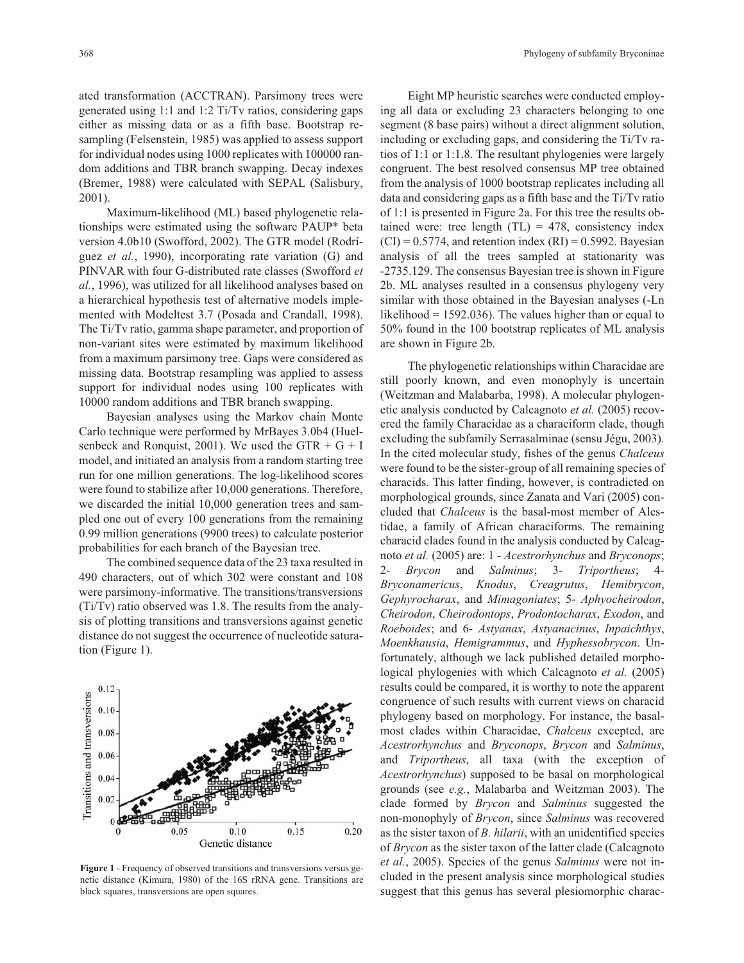ated transformation (ACCTRAN). Parsimony trees were generated using 1:1 and 1:2 Ti/Tv ratios, considering gaps either as missing data or as a fifth base. Bootstrap resampling (Felsenstein, 1985) was applied to assess support for individual nodes using 1000 replicates with 100000 random additions and TBR branch swapping. Decay indexes (Bremer, 1988) were calculated with SEPAL (Salisbury, 2001).

Maximum-likelihood (ML) based phylogenetic relationships were estimated using the software PAUP\* beta version 4.0b10 (Swofford, 2002). The GTR model (Rodríguez *et al.*, 1990), incorporating rate variation (G) and PINVAR with four G-distributed rate classes (Swofford *et al.*, 1996), was utilized for all likelihood analyses based on a hierarchical hypothesis test of alternative models implemented with Modeltest 3.7 (Posada and Crandall, 1998). The Ti/Tv ratio, gamma shape parameter, and proportion of non-variant sites were estimated by maximum likelihood from a maximum parsimony tree. Gaps were considered as missing data. Bootstrap resampling was applied to assess support for individual nodes using 100 replicates with 10000 random additions and TBR branch swapping.

Bayesian analyses using the Markov chain Monte Carlo technique were performed by MrBayes 3.0b4 (Huelsenbeck and Ronquist, 2001). We used the GTR  $+$  G  $+$  I model, and initiated an analysis from a random starting tree run for one million generations. The log-likelihood scores were found to stabilize after 10,000 generations. Therefore, we discarded the initial 10,000 generation trees and sampled one out of every 100 generations from the remaining 0.99 million generations (9900 trees) to calculate posterior probabilities for each branch of the Bayesian tree.

The combined sequence data of the 23 taxa resulted in 490 characters, out of which 302 were constant and 108 were parsimony-informative. The transitions/transversions (Ti/Tv) ratio observed was 1.8. The results from the analysis of plotting transitions and transversions against genetic distance do not suggest the occurrence of nucleotide saturation (Figure 1).



**Figure 1** - Frequency of observed transitions and transversions versus genetic distance (Kimura, 1980) of the 16S rRNA gene. Transitions are black squares, transversions are open squares.

Eight MP heuristic searches were conducted employing all data or excluding 23 characters belonging to one segment (8 base pairs) without a direct alignment solution, including or excluding gaps, and considering the Ti/Tv ratios of 1:1 or 1:1.8. The resultant phylogenies were largely congruent. The best resolved consensus MP tree obtained from the analysis of 1000 bootstrap replicates including all data and considering gaps as a fifth base and the Ti/Tv ratio of 1:1 is presented in Figure 2a. For this tree the results obtained were: tree length  $(TL) = 478$ , consistency index  $(CI) = 0.5774$ , and retention index  $(RI) = 0.5992$ . Bayesian analysis of all the trees sampled at stationarity was -2735.129. The consensus Bayesian tree is shown in Figure 2b. ML analyses resulted in a consensus phylogeny very similar with those obtained in the Bayesian analyses (-Ln likelihood = 1592.036). The values higher than or equal to 50% found in the 100 bootstrap replicates of ML analysis are shown in Figure 2b.

The phylogenetic relationships within Characidae are still poorly known, and even monophyly is uncertain (Weitzman and Malabarba, 1998). A molecular phylogenetic analysis conducted by Calcagnoto *et al.* (2005) recovered the family Characidae as a characiform clade, though excluding the subfamily Serrasalminae (sensu Jégu, 2003). In the cited molecular study, fishes of the genus *Chalceus* were found to be the sister-group of all remaining species of characids. This latter finding, however, is contradicted on morphological grounds, since Zanata and Vari (2005) concluded that *Chalceus* is the basal-most member of Alestidae, a family of African characiforms. The remaining characid clades found in the analysis conducted by Calcagnoto *et al.* (2005) are: 1 - *Acestrorhynchus* and *Bryconops*; 2- *Brycon* and *Salminus*; 3- *Triportheus*; 4- *Bryconamericus*, *Knodus*, *Creagrutus*, *Hemibrycon*, *Gephyrocharax*, and *Mimagoniates*; 5- *Aphyocheirodon*, *Cheirodon*, *Cheirodontops*, *Prodontocharax*, *Exodon*, and *Roeboides*; and 6- *Astyanax*, *Astyanacinus*, *Inpaichthys*, *Moenkhausia*, *Hemigrammus*, and *Hyphessobrycon*. Unfortunately, although we lack published detailed morphological phylogenies with which Calcagnoto *et al.* (2005) results could be compared, it is worthy to note the apparent congruence of such results with current views on characid phylogeny based on morphology. For instance, the basalmost clades within Characidae, *Chalceus* excepted, are *Acestrorhynchus* and *Bryconops*, *Brycon* and *Salminus*, and *Triportheus*, all taxa (with the exception of *Acestrorhynchus*) supposed to be basal on morphological grounds (see *e.g.*, Malabarba and Weitzman 2003). The clade formed by *Brycon* and *Salminus* suggested the non-monophyly of *Brycon*, since *Salminus* was recovered as the sister taxon of *B. hilarii*, with an unidentified species of *Brycon* as the sister taxon of the latter clade (Calcagnoto *et al.*, 2005). Species of the genus *Salminus* were not included in the present analysis since morphological studies suggest that this genus has several plesiomorphic charac-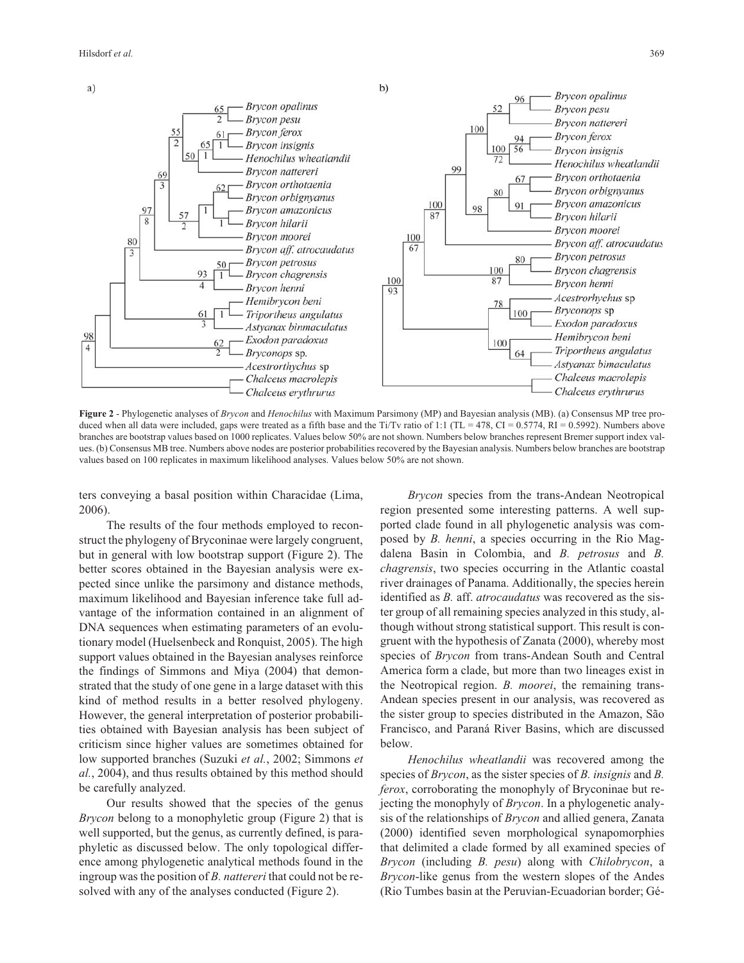

**Figure 2** - Phylogenetic analyses of *Brycon* and *Henochilus* with Maximum Parsimony (MP) and Bayesian analysis (MB). (a) Consensus MP tree produced when all data were included, gaps were treated as a fifth base and the Ti/Tv ratio of 1:1 (TL = 478, CI = 0.5774, RI = 0.5992). Numbers above branches are bootstrap values based on 1000 replicates. Values below 50% are not shown. Numbers below branches represent Bremer support index values. (b) Consensus MB tree. Numbers above nodes are posterior probabilities recovered by the Bayesian analysis. Numbers below branches are bootstrap values based on 100 replicates in maximum likelihood analyses. Values below 50% are not shown.

ters conveying a basal position within Characidae (Lima, 2006).

The results of the four methods employed to reconstruct the phylogeny of Bryconinae were largely congruent, but in general with low bootstrap support (Figure 2). The better scores obtained in the Bayesian analysis were expected since unlike the parsimony and distance methods, maximum likelihood and Bayesian inference take full advantage of the information contained in an alignment of DNA sequences when estimating parameters of an evolutionary model (Huelsenbeck and Ronquist, 2005). The high support values obtained in the Bayesian analyses reinforce the findings of Simmons and Miya (2004) that demonstrated that the study of one gene in a large dataset with this kind of method results in a better resolved phylogeny. However, the general interpretation of posterior probabilities obtained with Bayesian analysis has been subject of criticism since higher values are sometimes obtained for low supported branches (Suzuki *et al.*, 2002; Simmons *et al.*, 2004), and thus results obtained by this method should be carefully analyzed.

Our results showed that the species of the genus *Brycon* belong to a monophyletic group (Figure 2) that is well supported, but the genus, as currently defined, is paraphyletic as discussed below. The only topological difference among phylogenetic analytical methods found in the ingroup was the position of *B. nattereri* that could not be resolved with any of the analyses conducted (Figure 2).

*Brycon* species from the trans-Andean Neotropical region presented some interesting patterns. A well supported clade found in all phylogenetic analysis was composed by *B. henni*, a species occurring in the Rio Magdalena Basin in Colombia, and *B. petrosus* and *B. chagrensis*, two species occurring in the Atlantic coastal river drainages of Panama. Additionally, the species herein identified as *B.* aff. *atrocaudatus* was recovered as the sister group of all remaining species analyzed in this study, although without strong statistical support. This result is congruent with the hypothesis of Zanata (2000), whereby most species of *Brycon* from trans-Andean South and Central America form a clade, but more than two lineages exist in the Neotropical region. *B. moorei*, the remaining trans-Andean species present in our analysis, was recovered as the sister group to species distributed in the Amazon, São Francisco, and Paraná River Basins, which are discussed below.

*Henochilus wheatlandii* was recovered among the species of *Brycon*, as the sister species of *B. insignis* and *B. ferox*, corroborating the monophyly of Bryconinae but rejecting the monophyly of *Brycon*. In a phylogenetic analysis of the relationships of *Brycon* and allied genera, Zanata (2000) identified seven morphological synapomorphies that delimited a clade formed by all examined species of *Brycon* (including *B. pesu*) along with *Chilobrycon*, a *Brycon*-like genus from the western slopes of the Andes (Rio Tumbes basin at the Peruvian-Ecuadorian border; Gé-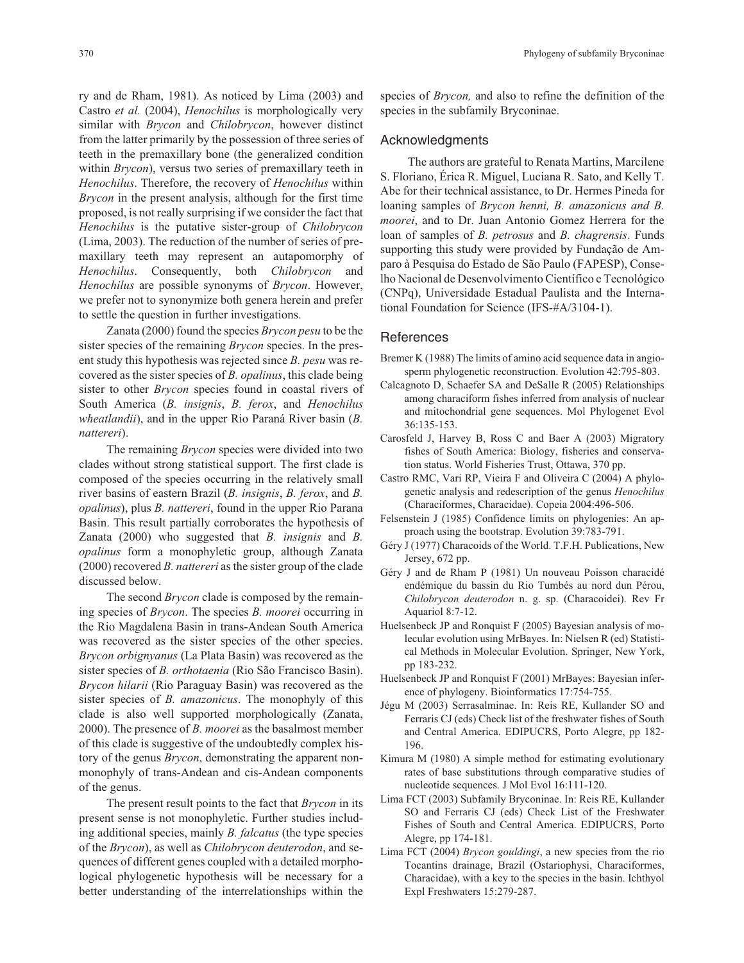ry and de Rham, 1981). As noticed by Lima (2003) and Castro *et al.* (2004), *Henochilus* is morphologically very similar with *Brycon* and *Chilobrycon*, however distinct from the latter primarily by the possession of three series of teeth in the premaxillary bone (the generalized condition within *Brycon*), versus two series of premaxillary teeth in *Henochilus*. Therefore, the recovery of *Henochilus* within *Brycon* in the present analysis, although for the first time proposed, is not really surprising if we consider the fact that *Henochilus* is the putative sister-group of *Chilobrycon* (Lima, 2003). The reduction of the number of series of premaxillary teeth may represent an autapomorphy of *Henochilus*. Consequently, both *Chilobrycon* and *Henochilus* are possible synonyms of *Brycon*. However, we prefer not to synonymize both genera herein and prefer to settle the question in further investigations.

Zanata (2000) found the species *Brycon pesu* to be the sister species of the remaining *Brycon* species. In the present study this hypothesis was rejected since *B. pesu* was recovered as the sister species of *B. opalinus*, this clade being sister to other *Brycon* species found in coastal rivers of South America (*B. insignis*, *B. ferox*, and *Henochilus wheatlandii*), and in the upper Rio Paraná River basin (*B. nattereri*).

The remaining *Brycon* species were divided into two clades without strong statistical support. The first clade is composed of the species occurring in the relatively small river basins of eastern Brazil (*B. insignis*, *B. ferox*, and *B. opalinus*), plus *B. nattereri*, found in the upper Rio Parana Basin. This result partially corroborates the hypothesis of Zanata (2000) who suggested that *B. insignis* and *B. opalinus* form a monophyletic group, although Zanata (2000) recovered *B. nattereri* as the sister group of the clade discussed below.

The second *Brycon* clade is composed by the remaining species of *Brycon*. The species *B. moorei* occurring in the Rio Magdalena Basin in trans-Andean South America was recovered as the sister species of the other species. *Brycon orbignyanus* (La Plata Basin) was recovered as the sister species of *B. orthotaenia* (Rio São Francisco Basin). *Brycon hilarii* (Rio Paraguay Basin) was recovered as the sister species of *B. amazonicus*. The monophyly of this clade is also well supported morphologically (Zanata, 2000). The presence of *B. moorei* as the basalmost member of this clade is suggestive of the undoubtedly complex history of the genus *Brycon*, demonstrating the apparent nonmonophyly of trans-Andean and cis-Andean components of the genus.

The present result points to the fact that *Brycon* in its present sense is not monophyletic. Further studies including additional species, mainly *B. falcatus* (the type species of the *Brycon*), as well as *Chilobrycon deuterodon*, and sequences of different genes coupled with a detailed morphological phylogenetic hypothesis will be necessary for a better understanding of the interrelationships within the species of *Brycon,* and also to refine the definition of the species in the subfamily Bryconinae.

## Acknowledgments

The authors are grateful to Renata Martins, Marcilene S. Floriano, Érica R. Miguel, Luciana R. Sato, and Kelly T. Abe for their technical assistance, to Dr. Hermes Pineda for loaning samples of *Brycon henni, B. amazonicus and B. moorei*, and to Dr. Juan Antonio Gomez Herrera for the loan of samples of *B. petrosus* and *B. chagrensis*. Funds supporting this study were provided by Fundação de Amparo à Pesquisa do Estado de São Paulo (FAPESP), Conselho Nacional de Desenvolvimento Científico e Tecnológico (CNPq), Universidade Estadual Paulista and the International Foundation for Science (IFS-#A/3104-1).

## **References**

- Bremer K (1988) The limits of amino acid sequence data in angiosperm phylogenetic reconstruction. Evolution 42:795-803.
- Calcagnoto D, Schaefer SA and DeSalle R (2005) Relationships among characiform fishes inferred from analysis of nuclear and mitochondrial gene sequences. Mol Phylogenet Evol 36:135-153.
- Carosfeld J, Harvey B, Ross C and Baer A (2003) Migratory fishes of South America: Biology, fisheries and conservation status. World Fisheries Trust, Ottawa, 370 pp.
- Castro RMC, Vari RP, Vieira F and Oliveira C (2004) A phylogenetic analysis and redescription of the genus *Henochilus* (Characiformes, Characidae). Copeia 2004:496-506.
- Felsenstein J (1985) Confidence limits on phylogenies: An approach using the bootstrap. Evolution 39:783-791.
- Géry J (1977) Characoids of the World. T.F.H. Publications, New Jersey, 672 pp.
- Géry J and de Rham P (1981) Un nouveau Poisson characidé endémique du bassin du Rio Tumbés au nord dun Pérou, *Chilobrycon deuterodon* n. g. sp. (Characoidei). Rev Fr Aquariol 8:7-12.
- Huelsenbeck JP and Ronquist F (2005) Bayesian analysis of molecular evolution using MrBayes. In: Nielsen R (ed) Statistical Methods in Molecular Evolution. Springer, New York, pp 183-232.
- Huelsenbeck JP and Ronquist F (2001) MrBayes: Bayesian inference of phylogeny. Bioinformatics 17:754-755.
- Jégu M (2003) Serrasalminae. In: Reis RE, Kullander SO and Ferraris CJ (eds) Check list of the freshwater fishes of South and Central America. EDIPUCRS, Porto Alegre, pp 182- 196.
- Kimura M (1980) A simple method for estimating evolutionary rates of base substitutions through comparative studies of nucleotide sequences. J Mol Evol 16:111-120.
- Lima FCT (2003) Subfamily Bryconinae. In: Reis RE, Kullander SO and Ferraris CJ (eds) Check List of the Freshwater Fishes of South and Central America. EDIPUCRS, Porto Alegre, pp 174-181.
- Lima FCT (2004) *Brycon gouldingi*, a new species from the rio Tocantins drainage, Brazil (Ostariophysi, Characiformes, Characidae), with a key to the species in the basin. Ichthyol Expl Freshwaters 15:279-287.